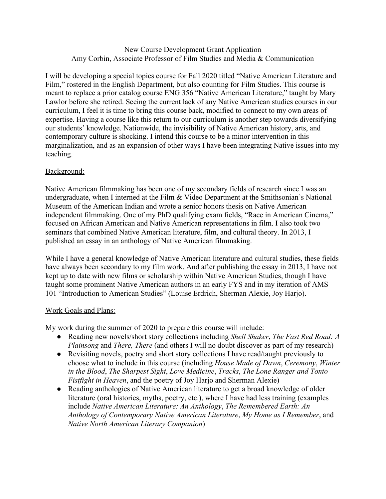## New Course Development Grant Application Amy Corbin, Associate Professor of Film Studies and Media & Communication

I will be developing a special topics course for Fall 2020 titled "Native American Literature and Film," rostered in the English Department, but also counting for Film Studies. This course is meant to replace a prior catalog course ENG 356 "Native American Literature," taught by Mary Lawlor before she retired. Seeing the current lack of any Native American studies courses in our curriculum, I feel it is time to bring this course back, modified to connect to my own areas of expertise. Having a course like this return to our curriculum is another step towards diversifying our students' knowledge. Nationwide, the invisibility of Native American history, arts, and contemporary culture is shocking. I intend this course to be a minor intervention in this marginalization, and as an expansion of other ways I have been integrating Native issues into my teaching.

## Background:

Native American filmmaking has been one of my secondary fields of research since I was an undergraduate, when I interned at the Film & Video Department at the Smithsonian's National Museum of the American Indian and wrote a senior honors thesis on Native American independent filmmaking. One of my PhD qualifying exam fields, "Race in American Cinema," focused on African American and Native American representations in film. I also took two seminars that combined Native American literature, film, and cultural theory. In 2013, I published an essay in an anthology of Native American filmmaking.

While I have a general knowledge of Native American literature and cultural studies, these fields have always been secondary to my film work. And after publishing the essay in 2013, I have not kept up to date with new films or scholarship within Native American Studies, though I have taught some prominent Native American authors in an early FYS and in my iteration of AMS 101 "Introduction to American Studies" (Louise Erdrich, Sherman Alexie, Joy Harjo).

## Work Goals and Plans:

My work during the summer of 2020 to prepare this course will include:

- Reading new novels/short story collections including *Shell Shaker*, *The Fast Red Road: A Plainsong* and *There, There* (and others I will no doubt discover as part of my research)
- Revisiting novels, poetry and short story collections I have read/taught previously to choose what to include in this course (including *House Made of Dawn*, *Ceremony*, *Winter in the Blood*, *The Sharpest Sight*, *Love Medicine*, *Tracks*, *The Lone Ranger and Tonto Fistfight in Heaven*, and the poetry of Joy Harjo and Sherman Alexie)
- Reading anthologies of Native American literature to get a broad knowledge of older literature (oral histories, myths, poetry, etc.), where I have had less training (examples include *Native American Literature: An Anthology*, *The Remembered Earth: An Anthology of Contemporary Native American Literature*, *My Home as I Remember*, and *Native North American Literary Companion*)